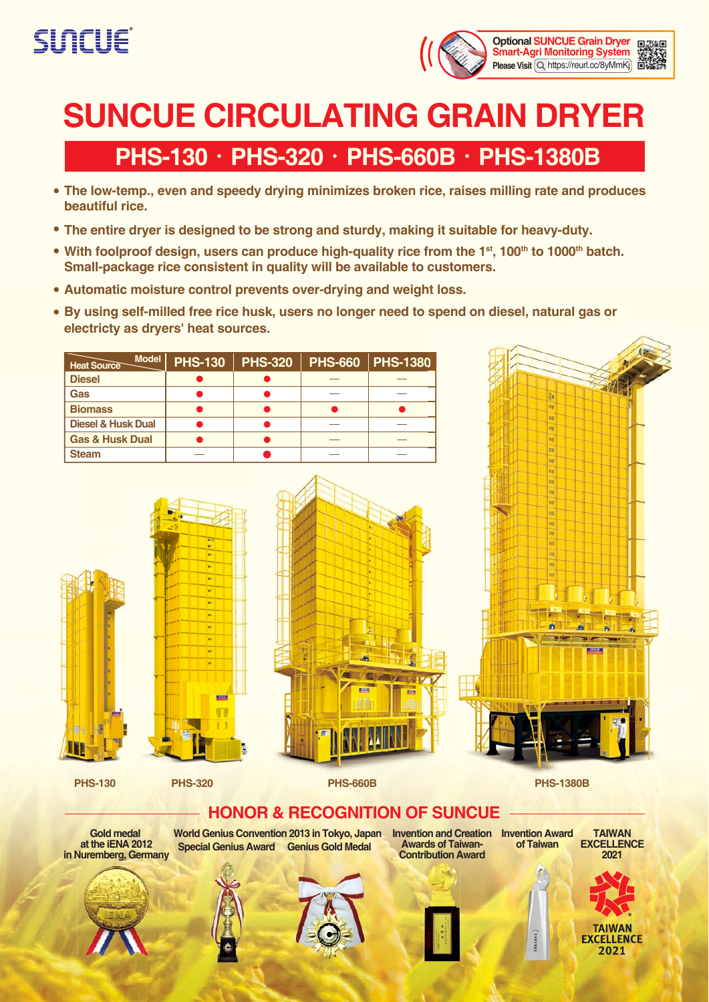



ls.

# **SUNCUE CIRCULATING GRAIN DRYER**

## **PHS-130**‧**PHS-320**‧**PHS-660B**‧**PHS-1380B**

- **The low-temp., even and speedy drying minimizes broken rice, raises milling rate and produces beautiful rice.**
- **The entire dryer is designed to be strong and sturdy, making it suitable for heavy-duty.**
- With foolproof design, users can produce high-quality rice from the 1<sup>st</sup>, 100<sup>th</sup> to 1000<sup>th</sup> batch. **Small-package rice consistent in quality will be available to customers.**
- **Automatic moisture control prevents over-drying and weight loss.**
- **By using self-milled free rice husk, users no longer need to spend on diesel, natural gas or electricty as dryers' heat sources.**

| <b>Model</b><br><b>Heat Source</b> | <b>PHS-130</b> | <b>PHS-320</b> | <b>PHS-660</b> | <b>PHS-1380</b> |  |
|------------------------------------|----------------|----------------|----------------|-----------------|--|
| <b>Diesel</b>                      |                |                |                |                 |  |
| Gas                                |                |                |                |                 |  |
| <b>Biomass</b>                     |                |                |                |                 |  |
| <b>Diesel &amp; Husk Dual</b>      |                |                |                |                 |  |
| <b>Gas &amp; Husk Dual</b>         |                |                |                |                 |  |
| <b>Steam</b>                       |                |                |                |                 |  |



**PHS-130 PHS-320 PHS-660B PHS-1380B**

#### **HONOR & RECOGNITION OF SUNCUE**

**Gold medal at the iENA 2012 in Nuremberg, Germany**



**Invention and Creation Invention Award Awards of Taiwan-Contribution Award**

**TAIWAN EXCELLENCE 2021**